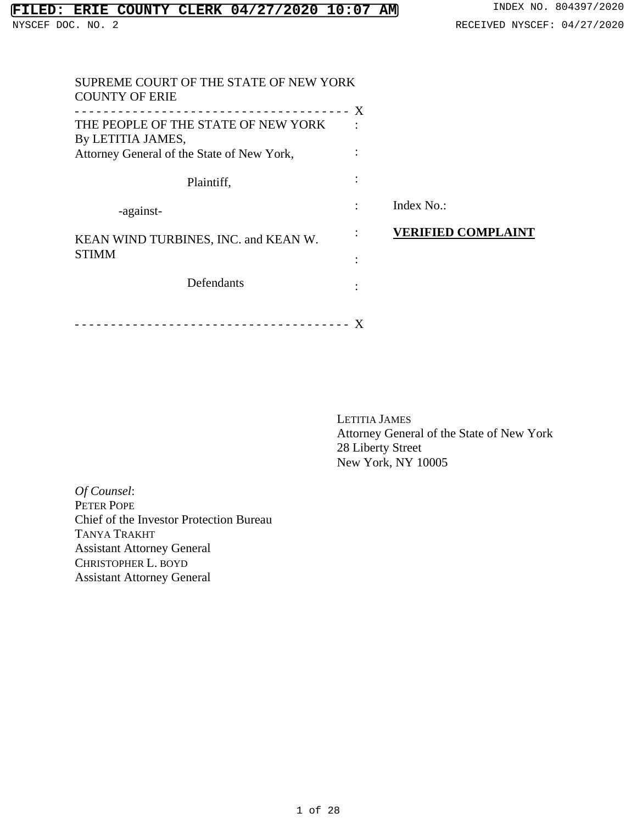| SUPREME COURT OF THE STATE OF NEW YORK<br><b>COUNTY OF ERIE</b>                                        |                           |
|--------------------------------------------------------------------------------------------------------|---------------------------|
| THE PEOPLE OF THE STATE OF NEW YORK<br>By LETITIA JAMES,<br>Attorney General of the State of New York, |                           |
| Plaintiff,                                                                                             |                           |
| -against-                                                                                              | Index No.:                |
| KEAN WIND TURBINES, INC. and KEAN W.                                                                   | <b>VERIFIED COMPLAINT</b> |
| <b>STIMM</b>                                                                                           |                           |
| Defendants                                                                                             |                           |
|                                                                                                        |                           |

LETITIA JAMES Attorney General of the State of New York 28 Liberty Street New York, NY 10005

*Of Counsel*: PETER POPE Chief of the Investor Protection Bureau TANYA TRAKHT Assistant Attorney General CHRISTOPHER L. BOYD Assistant Attorney General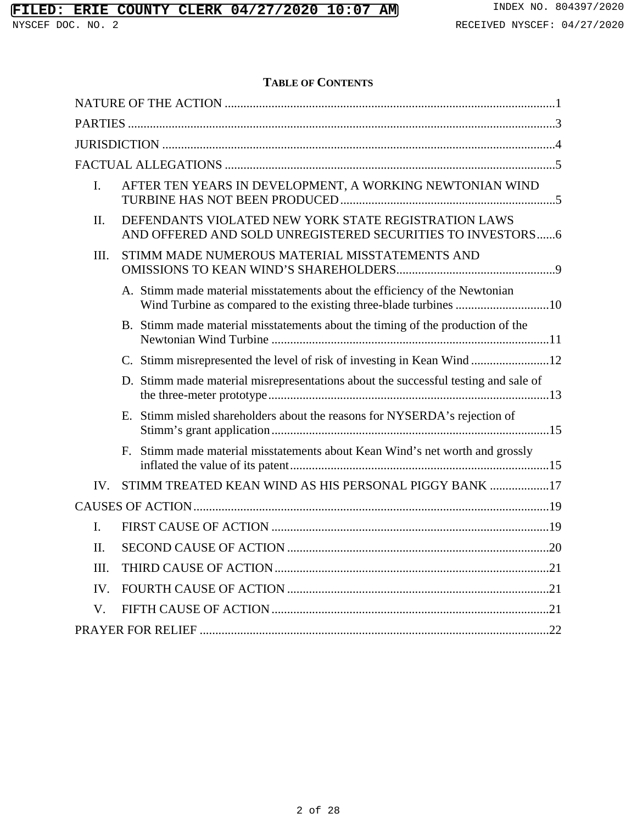## **TABLE OF CONTENTS**

| $\mathbf{I}$ . |  | AFTER TEN YEARS IN DEVELOPMENT, A WORKING NEWTONIAN WIND                                                            |  |
|----------------|--|---------------------------------------------------------------------------------------------------------------------|--|
| II.            |  | DEFENDANTS VIOLATED NEW YORK STATE REGISTRATION LAWS<br>AND OFFERED AND SOLD UNREGISTERED SECURITIES TO INVESTORS 6 |  |
| III.           |  | STIMM MADE NUMEROUS MATERIAL MISSTATEMENTS AND                                                                      |  |
|                |  | A. Stimm made material misstatements about the efficiency of the Newtonian                                          |  |
|                |  | B. Stimm made material misstatements about the timing of the production of the                                      |  |
|                |  | C. Stimm misrepresented the level of risk of investing in Kean Wind 12                                              |  |
|                |  | D. Stimm made material misrepresentations about the successful testing and sale of                                  |  |
|                |  | E. Stimm misled shareholders about the reasons for NYSERDA's rejection of                                           |  |
|                |  | F. Stimm made material misstatements about Kean Wind's net worth and grossly                                        |  |
| IV.            |  | STIMM TREATED KEAN WIND AS HIS PERSONAL PIGGY BANK 17                                                               |  |
|                |  |                                                                                                                     |  |
| $\mathbf{L}$   |  |                                                                                                                     |  |
| II.            |  |                                                                                                                     |  |
| III.           |  |                                                                                                                     |  |
| IV.            |  |                                                                                                                     |  |
| V.             |  |                                                                                                                     |  |
|                |  |                                                                                                                     |  |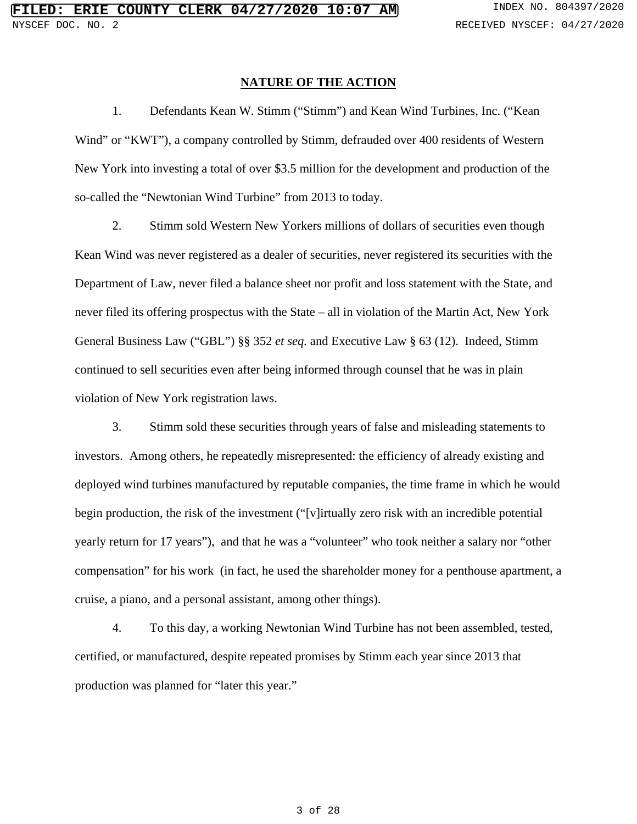#### **NATURE OF THE ACTION**

1. Defendants Kean W. Stimm ("Stimm") and Kean Wind Turbines, Inc. ("Kean Wind" or "KWT"), a company controlled by Stimm, defrauded over 400 residents of Western New York into investing a total of over \$3.5 million for the development and production of the so-called the "Newtonian Wind Turbine" from 2013 to today.

2. Stimm sold Western New Yorkers millions of dollars of securities even though Kean Wind was never registered as a dealer of securities, never registered its securities with the Department of Law, never filed a balance sheet nor profit and loss statement with the State, and never filed its offering prospectus with the State – all in violation of the Martin Act, New York General Business Law ("GBL") §§ 352 *et seq.* and Executive Law § 63 (12). Indeed, Stimm continued to sell securities even after being informed through counsel that he was in plain violation of New York registration laws.

3. Stimm sold these securities through years of false and misleading statements to investors. Among others, he repeatedly misrepresented: the efficiency of already existing and deployed wind turbines manufactured by reputable companies, the time frame in which he would begin production, the risk of the investment ("[v]irtually zero risk with an incredible potential yearly return for 17 years"), and that he was a "volunteer" who took neither a salary nor "other compensation" for his work (in fact, he used the shareholder money for a penthouse apartment, a cruise, a piano, and a personal assistant, among other things).

4. To this day, a working Newtonian Wind Turbine has not been assembled, tested, certified, or manufactured, despite repeated promises by Stimm each year since 2013 that production was planned for "later this year."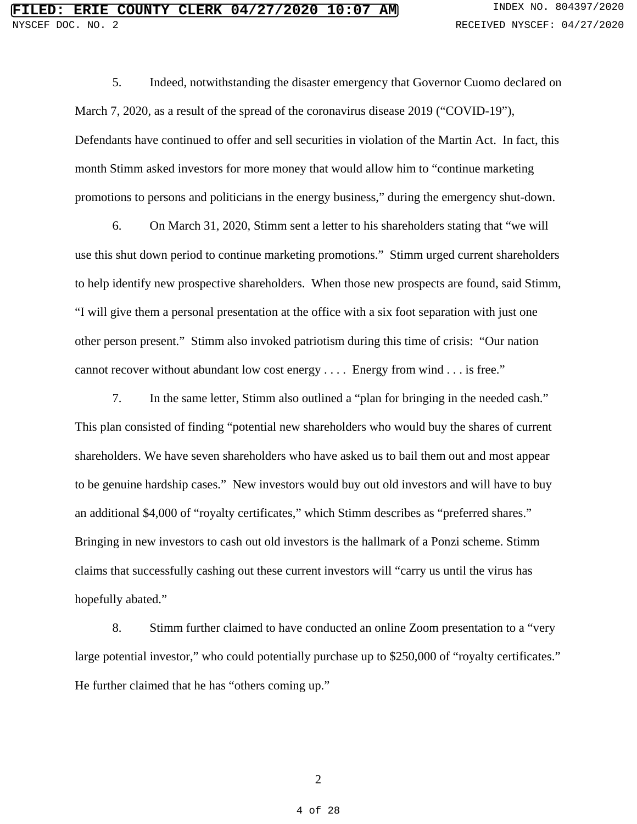5. Indeed, notwithstanding the disaster emergency that Governor Cuomo declared on March 7, 2020, as a result of the spread of the coronavirus disease 2019 ("COVID-19"), Defendants have continued to offer and sell securities in violation of the Martin Act. In fact, this month Stimm asked investors for more money that would allow him to "continue marketing promotions to persons and politicians in the energy business," during the emergency shut-down.

6. On March 31, 2020, Stimm sent a letter to his shareholders stating that "we will use this shut down period to continue marketing promotions." Stimm urged current shareholders to help identify new prospective shareholders. When those new prospects are found, said Stimm, "I will give them a personal presentation at the office with a six foot separation with just one other person present." Stimm also invoked patriotism during this time of crisis: "Our nation cannot recover without abundant low cost energy . . . . Energy from wind . . . is free."

7. In the same letter, Stimm also outlined a "plan for bringing in the needed cash." This plan consisted of finding "potential new shareholders who would buy the shares of current shareholders. We have seven shareholders who have asked us to bail them out and most appear to be genuine hardship cases." New investors would buy out old investors and will have to buy an additional \$4,000 of "royalty certificates," which Stimm describes as "preferred shares." Bringing in new investors to cash out old investors is the hallmark of a Ponzi scheme. Stimm claims that successfully cashing out these current investors will "carry us until the virus has hopefully abated."

8. Stimm further claimed to have conducted an online Zoom presentation to a "very large potential investor," who could potentially purchase up to \$250,000 of "royalty certificates." He further claimed that he has "others coming up."

2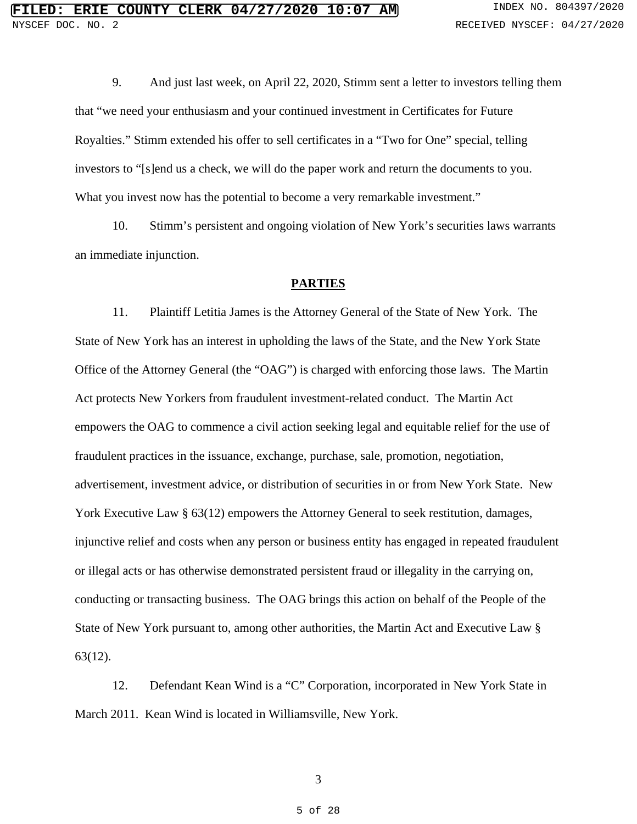9. And just last week, on April 22, 2020, Stimm sent a letter to investors telling them that "we need your enthusiasm and your continued investment in Certificates for Future Royalties." Stimm extended his offer to sell certificates in a "Two for One" special, telling investors to "[s]end us a check, we will do the paper work and return the documents to you. What you invest now has the potential to become a very remarkable investment."

10. Stimm's persistent and ongoing violation of New York's securities laws warrants an immediate injunction.

#### **PARTIES**

11. Plaintiff Letitia James is the Attorney General of the State of New York.The State of New York has an interest in upholding the laws of the State, and the New York State Office of the Attorney General (the "OAG") is charged with enforcing those laws. The Martin Act protects New Yorkers from fraudulent investment-related conduct. The Martin Act empowers the OAG to commence a civil action seeking legal and equitable relief for the use of fraudulent practices in the issuance, exchange, purchase, sale, promotion, negotiation, advertisement, investment advice, or distribution of securities in or from New York State. New York Executive Law § 63(12) empowers the Attorney General to seek restitution, damages, injunctive relief and costs when any person or business entity has engaged in repeated fraudulent or illegal acts or has otherwise demonstrated persistent fraud or illegality in the carrying on, conducting or transacting business. The OAG brings this action on behalf of the People of the State of New York pursuant to, among other authorities, the Martin Act and Executive Law § 63(12).

12. Defendant Kean Wind is a "C" Corporation, incorporated in New York State in March 2011. Kean Wind is located in Williamsville, New York.

3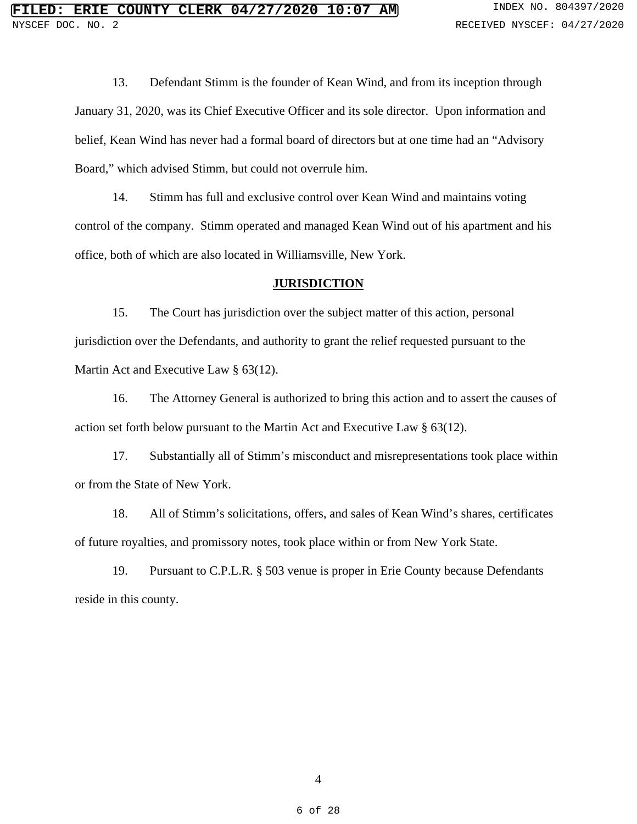13. Defendant Stimm is the founder of Kean Wind, and from its inception through January 31, 2020, was its Chief Executive Officer and its sole director. Upon information and belief, Kean Wind has never had a formal board of directors but at one time had an "Advisory Board," which advised Stimm, but could not overrule him.

14. Stimm has full and exclusive control over Kean Wind and maintains voting control of the company. Stimm operated and managed Kean Wind out of his apartment and his office, both of which are also located in Williamsville, New York.

#### **JURISDICTION**

15. The Court has jurisdiction over the subject matter of this action, personal jurisdiction over the Defendants, and authority to grant the relief requested pursuant to the Martin Act and Executive Law § 63(12).

16. The Attorney General is authorized to bring this action and to assert the causes of action set forth below pursuant to the Martin Act and Executive Law § 63(12).

17. Substantially all of Stimm's misconduct and misrepresentations took place within or from the State of New York.

18. All of Stimm's solicitations, offers, and sales of Kean Wind's shares, certificates of future royalties, and promissory notes, took place within or from New York State.

19. Pursuant to C.P.L.R. § 503 venue is proper in Erie County because Defendants reside in this county.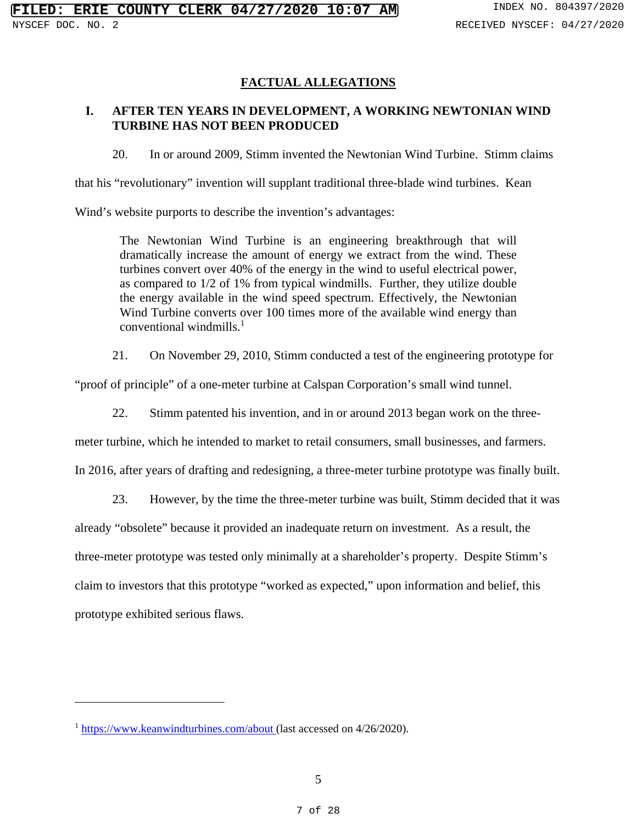## **FACTUAL ALLEGATIONS**

## **I. AFTER TEN YEARS IN DEVELOPMENT, A WORKING NEWTONIAN WIND TURBINE HAS NOT BEEN PRODUCED**

20. In or around 2009, Stimm invented the Newtonian Wind Turbine. Stimm claims

that his "revolutionary" invention will supplant traditional three-blade wind turbines. Kean

Wind's website purports to describe the invention's advantages:

The Newtonian Wind Turbine is an engineering breakthrough that will dramatically increase the amount of energy we extract from the wind. These turbines convert over 40% of the energy in the wind to useful electrical power, as compared to 1/2 of 1% from typical windmills. Further, they utilize double the energy available in the wind speed spectrum. Effectively, the Newtonian Wind Turbine converts over 100 times more of the available wind energy than conventional windmills. $<sup>1</sup>$ </sup>

21. On November 29, 2010, Stimm conducted a test of the engineering prototype for

"proof of principle" of a one-meter turbine at Calspan Corporation's small wind tunnel.

22. Stimm patented his invention, and in or around 2013 began work on the three-

meter turbine, which he intended to market to retail consumers, small businesses, and farmers.

In 2016, after years of drafting and redesigning, a three-meter turbine prototype was finally built.

23. However, by the time the three-meter turbine was built, Stimm decided that it was

already "obsolete" because it provided an inadequate return on investment. As a result, the three-meter prototype was tested only minimally at a shareholder's property. Despite Stimm's claim to investors that this prototype "worked as expected," upon information and belief, this prototype exhibited serious flaws.

 $1 \frac{\text{https://www.keanwindturbines.com/about}}{\text{https://www.keanwindturbines.com/about}}$  (last accessed on 4/26/2020).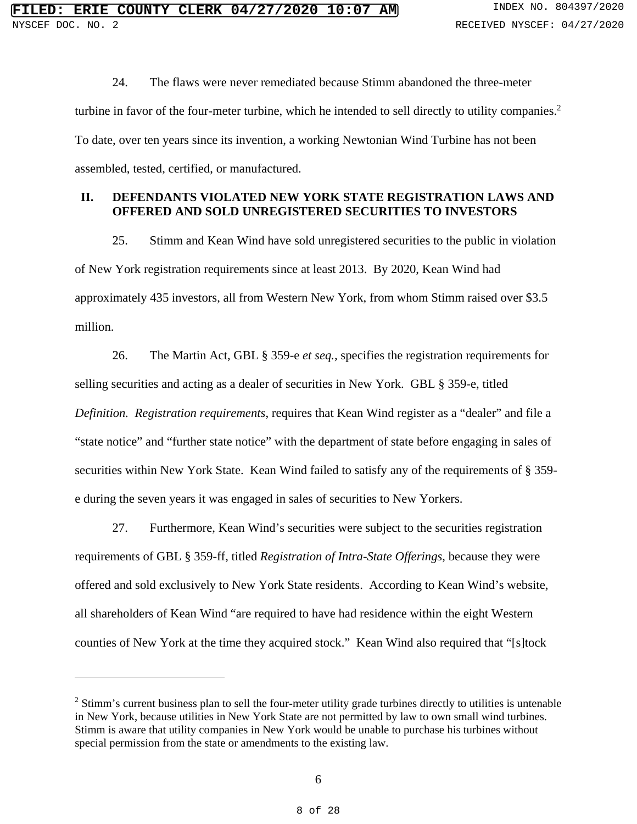24. The flaws were never remediated because Stimm abandoned the three-meter turbine in favor of the four-meter turbine, which he intended to sell directly to utility companies.<sup>2</sup> To date, over ten years since its invention, a working Newtonian Wind Turbine has not been assembled, tested, certified, or manufactured.

## **II. DEFENDANTS VIOLATED NEW YORK STATE REGISTRATION LAWS AND OFFERED AND SOLD UNREGISTERED SECURITIES TO INVESTORS**

25. Stimm and Kean Wind have sold unregistered securities to the public in violation of New York registration requirements since at least 2013. By 2020, Kean Wind had approximately 435 investors, all from Western New York, from whom Stimm raised over \$3.5 million.

26. The Martin Act, GBL § 359-e *et seq.,* specifies the registration requirements for selling securities and acting as a dealer of securities in New York. GBL § 359-e, titled *Definition. Registration requirements*, requires that Kean Wind register as a "dealer" and file a "state notice" and "further state notice" with the department of state before engaging in sales of securities within New York State. Kean Wind failed to satisfy any of the requirements of § 359 e during the seven years it was engaged in sales of securities to New Yorkers.

27. Furthermore, Kean Wind's securities were subject to the securities registration requirements of GBL § 359-ff, titled *Registration of Intra-State Offerings*, because they were offered and sold exclusively to New York State residents. According to Kean Wind's website, all shareholders of Kean Wind "are required to have had residence within the eight Western counties of New York at the time they acquired stock." Kean Wind also required that "[s]tock

 $2$  Stimm's current business plan to sell the four-meter utility grade turbines directly to utilities is untenable in New York, because utilities in New York State are not permitted by law to own small wind turbines. Stimm is aware that utility companies in New York would be unable to purchase his turbines without special permission from the state or amendments to the existing law.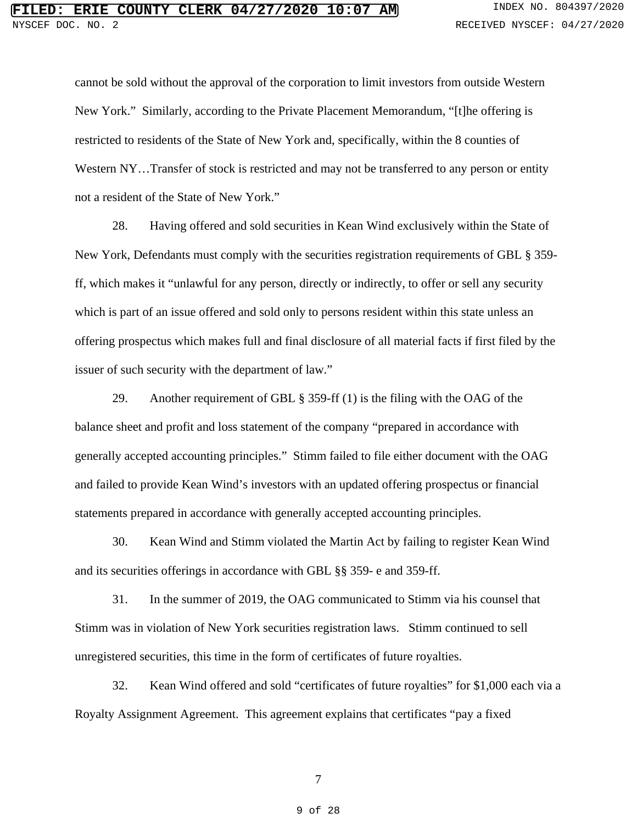cannot be sold without the approval of the corporation to limit investors from outside Western New York." Similarly, according to the Private Placement Memorandum, "[t]he offering is restricted to residents of the State of New York and, specifically, within the 8 counties of Western NY...Transfer of stock is restricted and may not be transferred to any person or entity not a resident of the State of New York."

28. Having offered and sold securities in Kean Wind exclusively within the State of New York, Defendants must comply with the securities registration requirements of GBL § 359 ff, which makes it "unlawful for any person, directly or indirectly, to offer or sell any security which is part of an issue offered and sold only to persons resident within this state unless an offering prospectus which makes full and final disclosure of all material facts if first filed by the issuer of such security with the department of law."

29. Another requirement of GBL § 359-ff (1) is the filing with the OAG of the balance sheet and profit and loss statement of the company "prepared in accordance with generally accepted accounting principles." Stimm failed to file either document with the OAG and failed to provide Kean Wind's investors with an updated offering prospectus or financial statements prepared in accordance with generally accepted accounting principles.

30. Kean Wind and Stimm violated the Martin Act by failing to register Kean Wind and its securities offerings in accordance with GBL §§ 359- e and 359-ff.

31. In the summer of 2019, the OAG communicated to Stimm via his counsel that Stimm was in violation of New York securities registration laws. Stimm continued to sell unregistered securities, this time in the form of certificates of future royalties.

32. Kean Wind offered and sold "certificates of future royalties" for \$1,000 each via a Royalty Assignment Agreement. This agreement explains that certificates "pay a fixed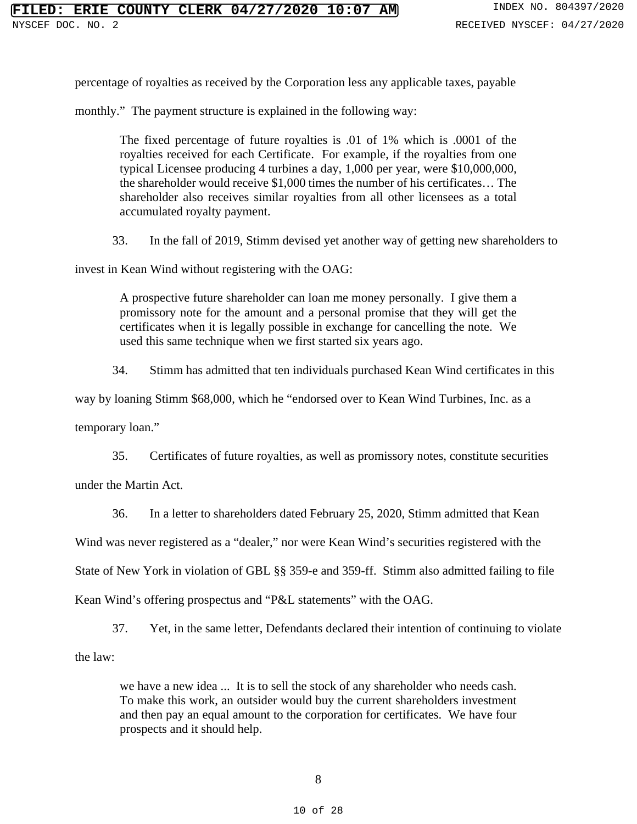percentage of royalties as received by the Corporation less any applicable taxes, payable

monthly." The payment structure is explained in the following way:

The fixed percentage of future royalties is .01 of 1% which is .0001 of the royalties received for each Certificate. For example, if the royalties from one typical Licensee producing 4 turbines a day, 1,000 per year, were \$10,000,000, the shareholder would receive \$1,000 times the number of his certificates… The shareholder also receives similar royalties from all other licensees as a total accumulated royalty payment.

33. In the fall of 2019, Stimm devised yet another way of getting new shareholders to

invest in Kean Wind without registering with the OAG:

A prospective future shareholder can loan me money personally. I give them a promissory note for the amount and a personal promise that they will get the certificates when it is legally possible in exchange for cancelling the note. We used this same technique when we first started six years ago.

34. Stimm has admitted that ten individuals purchased Kean Wind certificates in this

way by loaning Stimm \$68,000, which he "endorsed over to Kean Wind Turbines, Inc. as a

temporary loan."

35. Certificates of future royalties, as well as promissory notes, constitute securities

under the Martin Act.

36. In a letter to shareholders dated February 25, 2020, Stimm admitted that Kean

Wind was never registered as a "dealer," nor were Kean Wind's securities registered with the

State of New York in violation of GBL §§ 359-e and 359-ff. Stimm also admitted failing to file

Kean Wind's offering prospectus and "P&L statements" with the OAG.

37. Yet, in the same letter, Defendants declared their intention of continuing to violate the law:

we have a new idea ... It is to sell the stock of any shareholder who needs cash. To make this work, an outsider would buy the current shareholders investment and then pay an equal amount to the corporation for certificates. We have four prospects and it should help.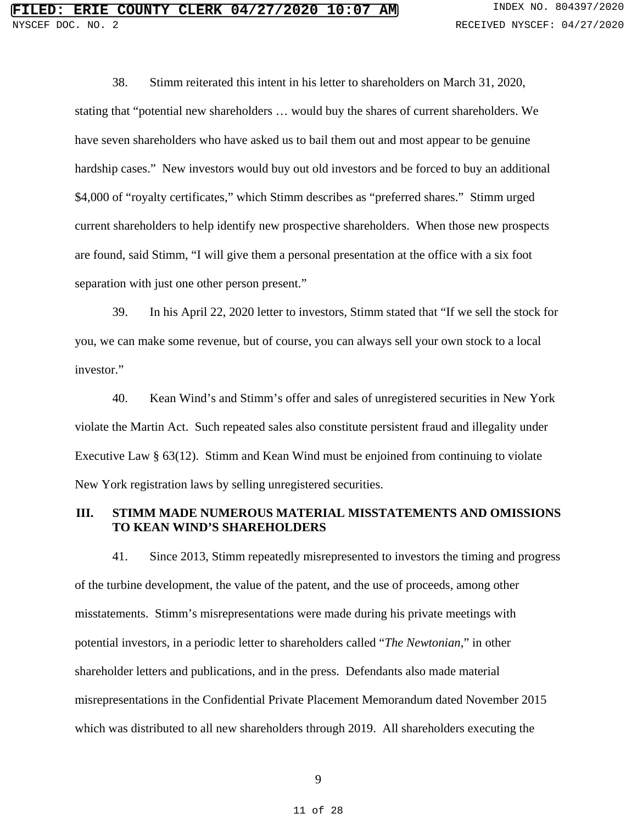38. Stimm reiterated this intent in his letter to shareholders on March 31, 2020, stating that "potential new shareholders … would buy the shares of current shareholders. We have seven shareholders who have asked us to bail them out and most appear to be genuine hardship cases." New investors would buy out old investors and be forced to buy an additional \$4,000 of "royalty certificates," which Stimm describes as "preferred shares." Stimm urged current shareholders to help identify new prospective shareholders. When those new prospects are found, said Stimm, "I will give them a personal presentation at the office with a six foot separation with just one other person present."

39. In his April 22, 2020 letter to investors, Stimm stated that "If we sell the stock for you, we can make some revenue, but of course, you can always sell your own stock to a local investor."

40. Kean Wind's and Stimm's offer and sales of unregistered securities in New York violate the Martin Act. Such repeated sales also constitute persistent fraud and illegality under Executive Law § 63(12). Stimm and Kean Wind must be enjoined from continuing to violate New York registration laws by selling unregistered securities.

## **III. STIMM MADE NUMEROUS MATERIAL MISSTATEMENTS AND OMISSIONS TO KEAN WIND'S SHAREHOLDERS**

41. Since 2013, Stimm repeatedly misrepresented to investors the timing and progress of the turbine development, the value of the patent, and the use of proceeds, among other misstatements. Stimm's misrepresentations were made during his private meetings with potential investors, in a periodic letter to shareholders called "*The Newtonian*," in other shareholder letters and publications, and in the press. Defendants also made material misrepresentations in the Confidential Private Placement Memorandum dated November 2015 which was distributed to all new shareholders through 2019. All shareholders executing the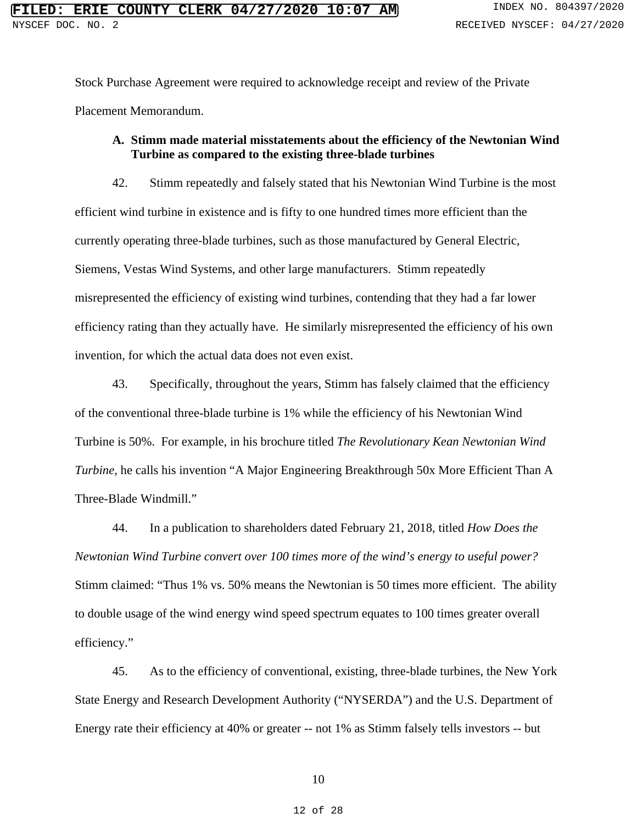Stock Purchase Agreement were required to acknowledge receipt and review of the Private Placement Memorandum.

## **A. Stimm made material misstatements about the efficiency of the Newtonian Wind Turbine as compared to the existing three-blade turbines**

42. Stimm repeatedly and falsely stated that his Newtonian Wind Turbine is the most efficient wind turbine in existence and is fifty to one hundred times more efficient than the currently operating three-blade turbines, such as those manufactured by General Electric, Siemens, Vestas Wind Systems, and other large manufacturers. Stimm repeatedly misrepresented the efficiency of existing wind turbines, contending that they had a far lower efficiency rating than they actually have. He similarly misrepresented the efficiency of his own invention, for which the actual data does not even exist.

43. Specifically, throughout the years, Stimm has falsely claimed that the efficiency of the conventional three-blade turbine is 1% while the efficiency of his Newtonian Wind Turbine is 50%. For example, in his brochure titled *The Revolutionary Kean Newtonian Wind Turbine*, he calls his invention "A Major Engineering Breakthrough 50x More Efficient Than A Three-Blade Windmill."

44. In a publication to shareholders dated February 21, 2018, titled *How Does the Newtonian Wind Turbine convert over 100 times more of the wind's energy to useful power?* Stimm claimed: "Thus 1% vs. 50% means the Newtonian is 50 times more efficient. The ability to double usage of the wind energy wind speed spectrum equates to 100 times greater overall efficiency."

45. As to the efficiency of conventional, existing, three-blade turbines, the New York State Energy and Research Development Authority ("NYSERDA") and the U.S. Department of Energy rate their efficiency at 40% or greater -- not 1% as Stimm falsely tells investors -- but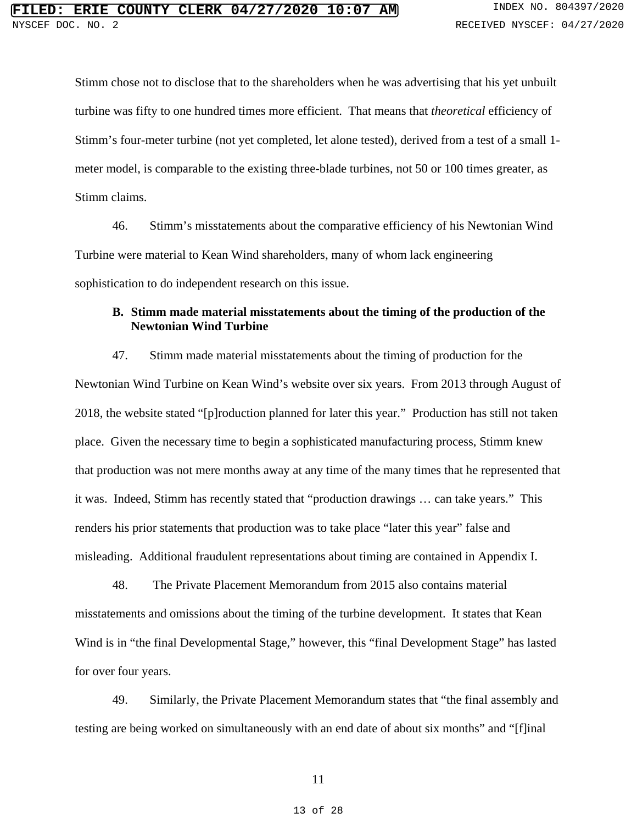Stimm chose not to disclose that to the shareholders when he was advertising that his yet unbuilt turbine was fifty to one hundred times more efficient. That means that *theoretical* efficiency of Stimm's four-meter turbine (not yet completed, let alone tested), derived from a test of a small 1 meter model, is comparable to the existing three-blade turbines, not 50 or 100 times greater, as Stimm claims.

46. Stimm's misstatements about the comparative efficiency of his Newtonian Wind Turbine were material to Kean Wind shareholders, many of whom lack engineering sophistication to do independent research on this issue.

## **B. Stimm made material misstatements about the timing of the production of the Newtonian Wind Turbine**

47. Stimm made material misstatements about the timing of production for the Newtonian Wind Turbine on Kean Wind's website over six years. From 2013 through August of 2018, the website stated "[p]roduction planned for later this year." Production has still not taken place. Given the necessary time to begin a sophisticated manufacturing process, Stimm knew that production was not mere months away at any time of the many times that he represented that it was. Indeed, Stimm has recently stated that "production drawings … can take years." This renders his prior statements that production was to take place "later this year" false and misleading. Additional fraudulent representations about timing are contained in Appendix I.

48. The Private Placement Memorandum from 2015 also contains material misstatements and omissions about the timing of the turbine development. It states that Kean Wind is in "the final Developmental Stage," however, this "final Development Stage" has lasted for over four years.

49. Similarly, the Private Placement Memorandum states that "the final assembly and testing are being worked on simultaneously with an end date of about six months" and "[f]inal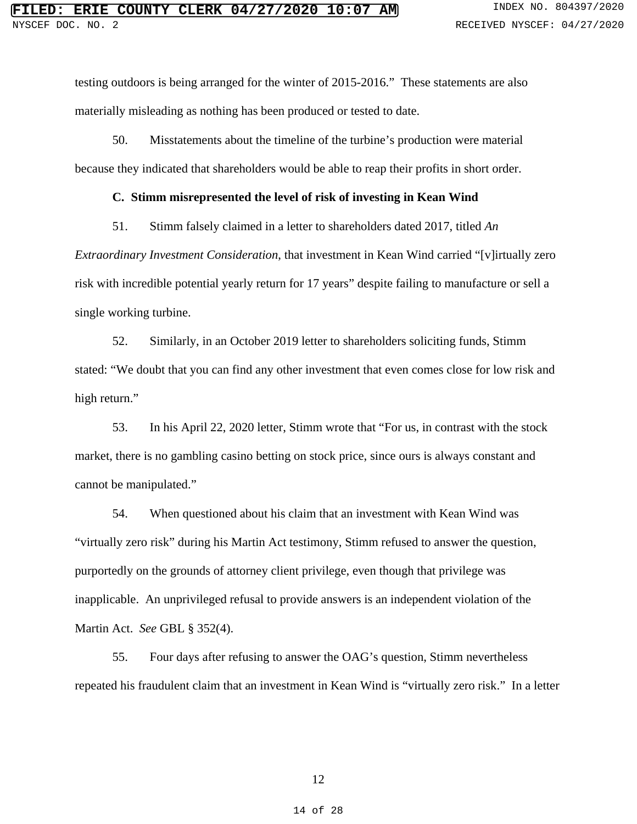testing outdoors is being arranged for the winter of 2015-2016." These statements are also materially misleading as nothing has been produced or tested to date.

50. Misstatements about the timeline of the turbine's production were material because they indicated that shareholders would be able to reap their profits in short order.

#### **C. Stimm misrepresented the level of risk of investing in Kean Wind**

51. Stimm falsely claimed in a letter to shareholders dated 2017, titled *An* 

*Extraordinary Investment Consideration*, that investment in Kean Wind carried "[v]irtually zero risk with incredible potential yearly return for 17 years" despite failing to manufacture or sell a single working turbine.

52. Similarly, in an October 2019 letter to shareholders soliciting funds, Stimm stated: "We doubt that you can find any other investment that even comes close for low risk and high return."

53. In his April 22, 2020 letter, Stimm wrote that "For us, in contrast with the stock market, there is no gambling casino betting on stock price, since ours is always constant and cannot be manipulated."

54. When questioned about his claim that an investment with Kean Wind was "virtually zero risk" during his Martin Act testimony, Stimm refused to answer the question, purportedly on the grounds of attorney client privilege, even though that privilege was inapplicable. An unprivileged refusal to provide answers is an independent violation of the Martin Act. *See* GBL § 352(4).

55. Four days after refusing to answer the OAG's question, Stimm nevertheless repeated his fraudulent claim that an investment in Kean Wind is "virtually zero risk." In a letter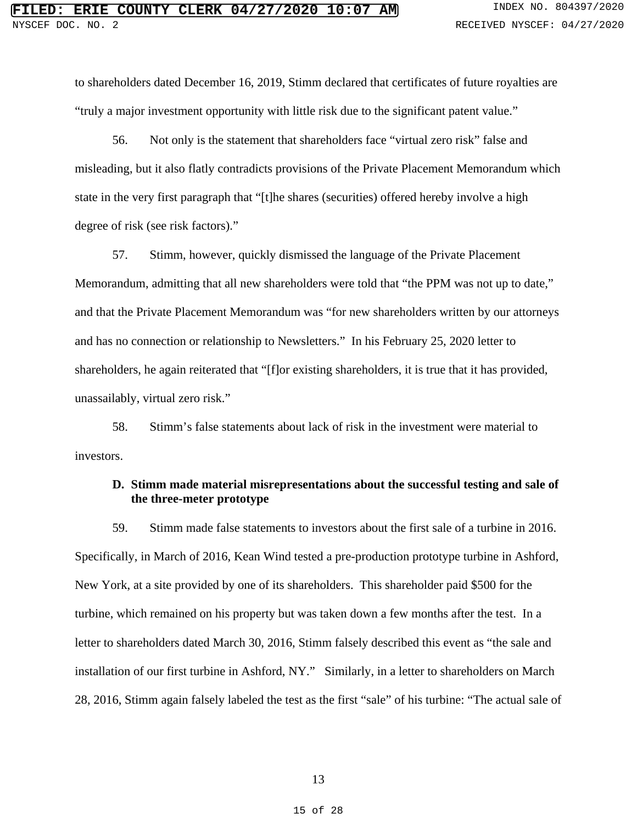to shareholders dated December 16, 2019, Stimm declared that certificates of future royalties are "truly a major investment opportunity with little risk due to the significant patent value."

56. Not only is the statement that shareholders face "virtual zero risk" false and misleading, but it also flatly contradicts provisions of the Private Placement Memorandum which state in the very first paragraph that "[t]he shares (securities) offered hereby involve a high degree of risk (see risk factors)."

57. Stimm, however, quickly dismissed the language of the Private Placement Memorandum, admitting that all new shareholders were told that "the PPM was not up to date," and that the Private Placement Memorandum was "for new shareholders written by our attorneys and has no connection or relationship to Newsletters." In his February 25, 2020 letter to shareholders, he again reiterated that "[f]or existing shareholders, it is true that it has provided, unassailably, virtual zero risk."

58. Stimm's false statements about lack of risk in the investment were material to investors.

## **D. Stimm made material misrepresentations about the successful testing and sale of the three-meter prototype**

59. Stimm made false statements to investors about the first sale of a turbine in 2016. Specifically, in March of 2016, Kean Wind tested a pre-production prototype turbine in Ashford, New York, at a site provided by one of its shareholders. This shareholder paid \$500 for the turbine, which remained on his property but was taken down a few months after the test. In a letter to shareholders dated March 30, 2016, Stimm falsely described this event as "the sale and installation of our first turbine in Ashford, NY." Similarly, in a letter to shareholders on March 28, 2016, Stimm again falsely labeled the test as the first "sale" of his turbine: "The actual sale of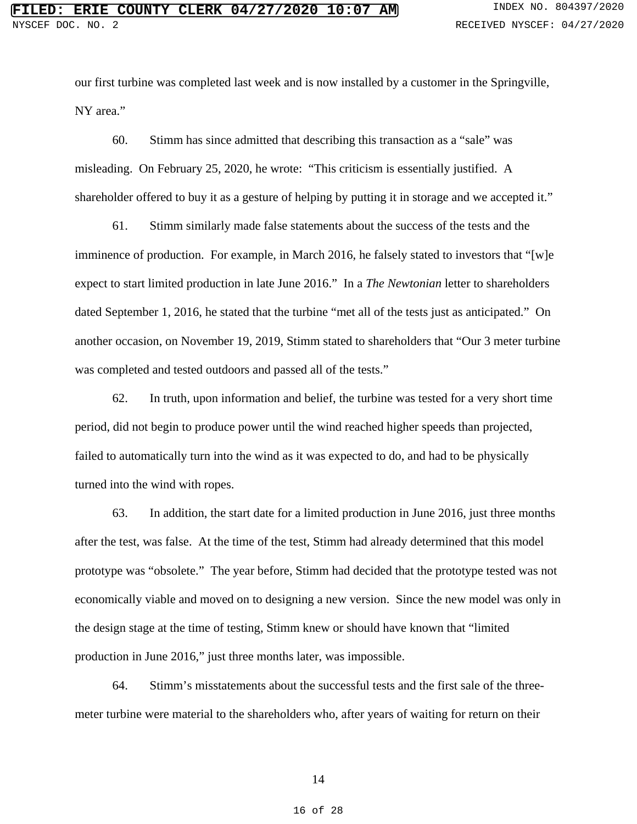our first turbine was completed last week and is now installed by a customer in the Springville, NY area."

60. Stimm has since admitted that describing this transaction as a "sale" was misleading. On February 25, 2020, he wrote: "This criticism is essentially justified. A shareholder offered to buy it as a gesture of helping by putting it in storage and we accepted it."

61. Stimm similarly made false statements about the success of the tests and the imminence of production. For example, in March 2016, he falsely stated to investors that "[w]e expect to start limited production in late June 2016." In a *The Newtonian* letter to shareholders dated September 1, 2016, he stated that the turbine "met all of the tests just as anticipated." On another occasion, on November 19, 2019, Stimm stated to shareholders that "Our 3 meter turbine was completed and tested outdoors and passed all of the tests."

62. In truth, upon information and belief, the turbine was tested for a very short time period, did not begin to produce power until the wind reached higher speeds than projected, failed to automatically turn into the wind as it was expected to do, and had to be physically turned into the wind with ropes.

63. In addition, the start date for a limited production in June 2016, just three months after the test, was false. At the time of the test, Stimm had already determined that this model prototype was "obsolete." The year before, Stimm had decided that the prototype tested was not economically viable and moved on to designing a new version. Since the new model was only in the design stage at the time of testing, Stimm knew or should have known that "limited production in June 2016," just three months later, was impossible.

64. Stimm's misstatements about the successful tests and the first sale of the threemeter turbine were material to the shareholders who, after years of waiting for return on their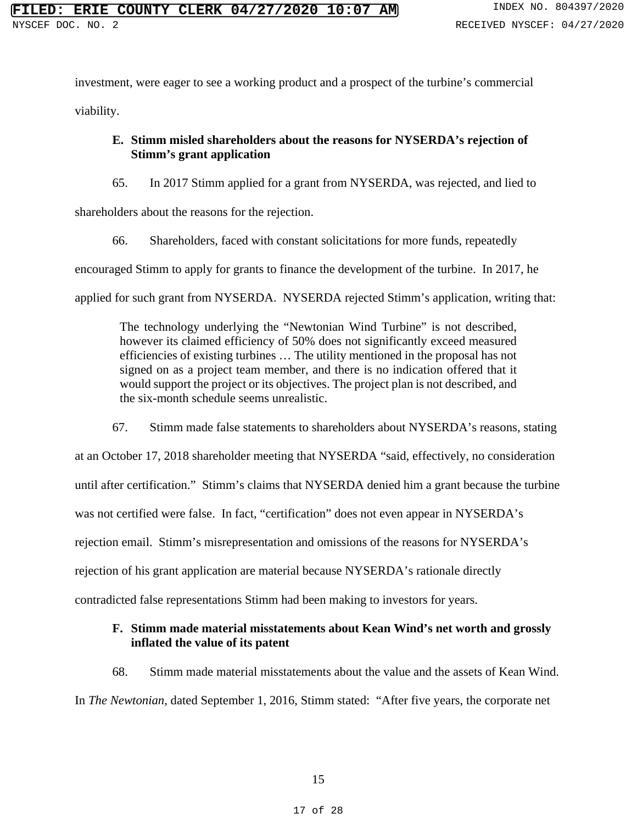investment, were eager to see a working product and a prospect of the turbine's commercial

viability.

## **E. Stimm misled shareholders about the reasons for NYSERDA's rejection of Stimm's grant application**

65. In 2017 Stimm applied for a grant from NYSERDA, was rejected, and lied to

shareholders about the reasons for the rejection.

66. Shareholders, faced with constant solicitations for more funds, repeatedly

encouraged Stimm to apply for grants to finance the development of the turbine. In 2017, he

applied for such grant from NYSERDA. NYSERDA rejected Stimm's application, writing that:

The technology underlying the "Newtonian Wind Turbine" is not described, however its claimed efficiency of 50% does not significantly exceed measured efficiencies of existing turbines … The utility mentioned in the proposal has not signed on as a project team member, and there is no indication offered that it would support the project or its objectives. The project plan is not described, and the six-month schedule seems unrealistic.

67. Stimm made false statements to shareholders about NYSERDA's reasons, stating

at an October 17, 2018 shareholder meeting that NYSERDA "said, effectively, no consideration until after certification." Stimm's claims that NYSERDA denied him a grant because the turbine was not certified were false. In fact, "certification" does not even appear in NYSERDA's rejection email. Stimm's misrepresentation and omissions of the reasons for NYSERDA's rejection of his grant application are material because NYSERDA's rationale directly contradicted false representations Stimm had been making to investors for years.

## **F. Stimm made material misstatements about Kean Wind's net worth and grossly inflated the value of its patent**

68. Stimm made material misstatements about the value and the assets of Kean Wind.

In *The Newtonian*, dated September 1, 2016, Stimm stated: "After five years, the corporate net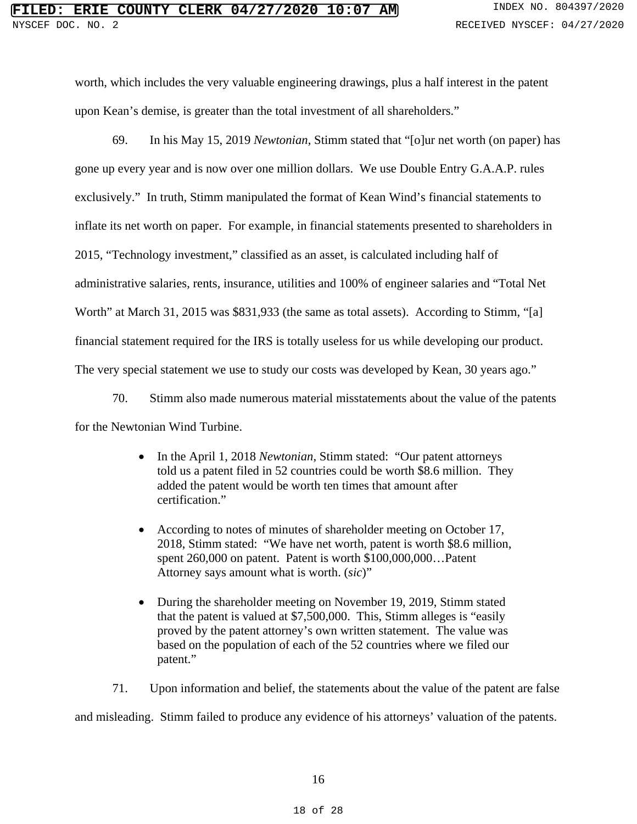worth, which includes the very valuable engineering drawings, plus a half interest in the patent upon Kean's demise, is greater than the total investment of all shareholders."

69. In his May 15, 2019 *Newtonian*, Stimm stated that "[o]ur net worth (on paper) has gone up every year and is now over one million dollars. We use Double Entry G.A.A.P. rules exclusively." In truth, Stimm manipulated the format of Kean Wind's financial statements to inflate its net worth on paper. For example, in financial statements presented to shareholders in 2015, "Technology investment," classified as an asset, is calculated including half of administrative salaries, rents, insurance, utilities and 100% of engineer salaries and "Total Net Worth" at March 31, 2015 was \$831,933 (the same as total assets). According to Stimm, "[a] financial statement required for the IRS is totally useless for us while developing our product. The very special statement we use to study our costs was developed by Kean, 30 years ago."

70. Stimm also made numerous material misstatements about the value of the patents for the Newtonian Wind Turbine.

- In the April 1, 2018 *Newtonian*, Stimm stated: "Our patent attorneys told us a patent filed in 52 countries could be worth \$8.6 million. They added the patent would be worth ten times that amount after certification."
- According to notes of minutes of shareholder meeting on October 17, 2018, Stimm stated: "We have net worth, patent is worth \$8.6 million, spent 260,000 on patent. Patent is worth \$100,000,000…Patent Attorney says amount what is worth. (*sic*)"
- During the shareholder meeting on November 19, 2019, Stimm stated that the patent is valued at \$7,500,000. This, Stimm alleges is "easily proved by the patent attorney's own written statement. The value was based on the population of each of the 52 countries where we filed our patent."

71. Upon information and belief, the statements about the value of the patent are false

and misleading. Stimm failed to produce any evidence of his attorneys' valuation of the patents.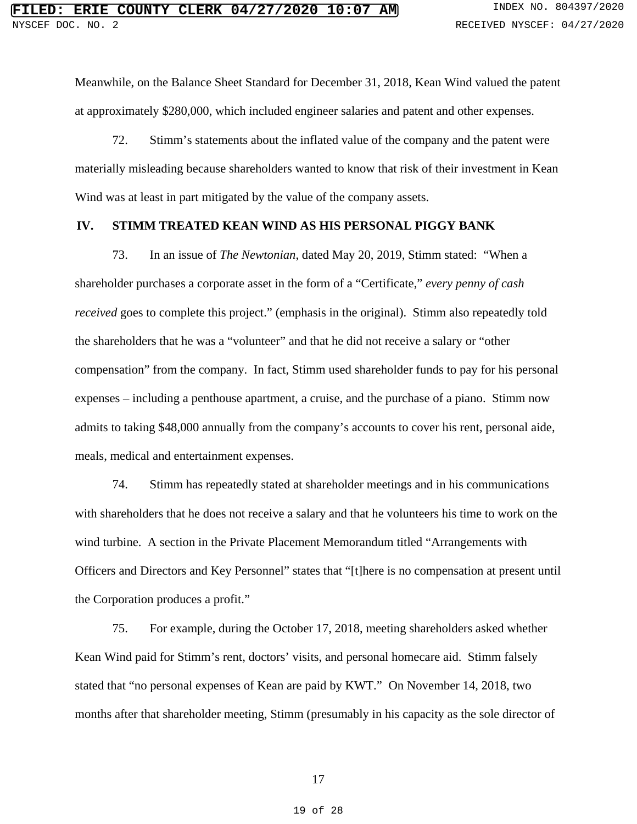Meanwhile, on the Balance Sheet Standard for December 31, 2018, Kean Wind valued the patent at approximately \$280,000, which included engineer salaries and patent and other expenses.

72. Stimm's statements about the inflated value of the company and the patent were materially misleading because shareholders wanted to know that risk of their investment in Kean Wind was at least in part mitigated by the value of the company assets.

#### **IV. STIMM TREATED KEAN WIND AS HIS PERSONAL PIGGY BANK**

73. In an issue of *The Newtonian*, dated May 20, 2019, Stimm stated: "When a shareholder purchases a corporate asset in the form of a "Certificate," *every penny of cash received* goes to complete this project." (emphasis in the original). Stimm also repeatedly told the shareholders that he was a "volunteer" and that he did not receive a salary or "other compensation" from the company. In fact, Stimm used shareholder funds to pay for his personal expenses – including a penthouse apartment, a cruise, and the purchase of a piano. Stimm now admits to taking \$48,000 annually from the company's accounts to cover his rent, personal aide, meals, medical and entertainment expenses.

74. Stimm has repeatedly stated at shareholder meetings and in his communications with shareholders that he does not receive a salary and that he volunteers his time to work on the wind turbine. A section in the Private Placement Memorandum titled "Arrangements with Officers and Directors and Key Personnel" states that "[t]here is no compensation at present until the Corporation produces a profit."

75. For example, during the October 17, 2018, meeting shareholders asked whether Kean Wind paid for Stimm's rent, doctors' visits, and personal homecare aid. Stimm falsely stated that "no personal expenses of Kean are paid by KWT." On November 14, 2018, two months after that shareholder meeting, Stimm (presumably in his capacity as the sole director of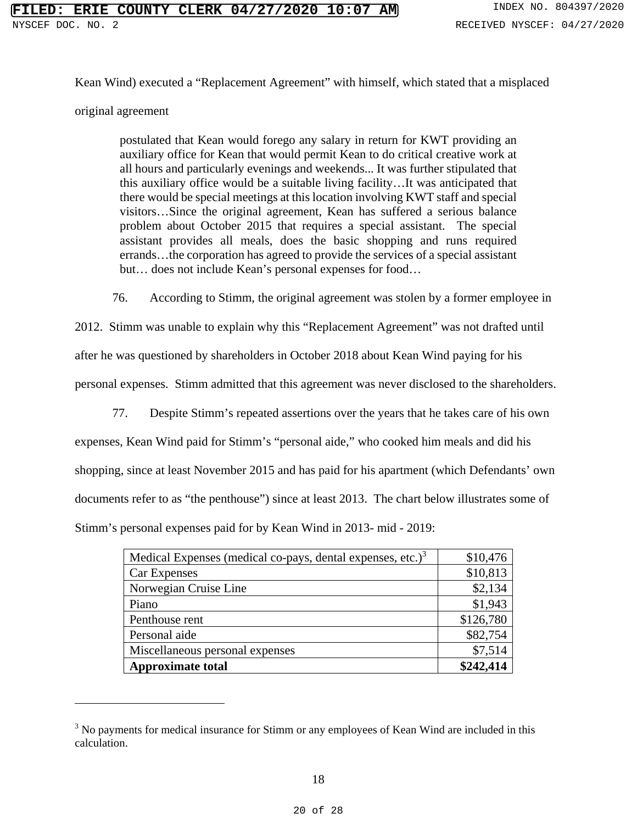Kean Wind) executed a "Replacement Agreement" with himself, which stated that a misplaced

#### original agreement

postulated that Kean would forego any salary in return for KWT providing an auxiliary office for Kean that would permit Kean to do critical creative work at all hours and particularly evenings and weekends... It was further stipulated that this auxiliary office would be a suitable living facility…It was anticipated that there would be special meetings at this location involving KWT staff and special visitors…Since the original agreement, Kean has suffered a serious balance problem about October 2015 that requires a special assistant. The special assistant provides all meals, does the basic shopping and runs required errands…the corporation has agreed to provide the services of a special assistant but… does not include Kean's personal expenses for food…

76. According to Stimm, the original agreement was stolen by a former employee in

2012. Stimm was unable to explain why this "Replacement Agreement" was not drafted until

after he was questioned by shareholders in October 2018 about Kean Wind paying for his

personal expenses. Stimm admitted that this agreement was never disclosed to the shareholders.

77. Despite Stimm's repeated assertions over the years that he takes care of his own

expenses, Kean Wind paid for Stimm's "personal aide," who cooked him meals and did his shopping, since at least November 2015 and has paid for his apartment (which Defendants' own documents refer to as "the penthouse") since at least 2013. The chart below illustrates some of Stimm's personal expenses paid for by Kean Wind in 2013- mid - 2019:

| Medical Expenses (medical co-pays, dental expenses, etc.) $3$ | \$10,476  |
|---------------------------------------------------------------|-----------|
| <b>Car Expenses</b>                                           | \$10,813  |
| Norwegian Cruise Line                                         | \$2,134   |
| Piano                                                         | \$1,943   |
| Penthouse rent                                                | \$126,780 |
| Personal aide                                                 | \$82,754  |
| Miscellaneous personal expenses                               | \$7,514   |
| <b>Approximate total</b>                                      | \$242,414 |

<sup>&</sup>lt;sup>3</sup> No payments for medical insurance for Stimm or any employees of Kean Wind are included in this calculation.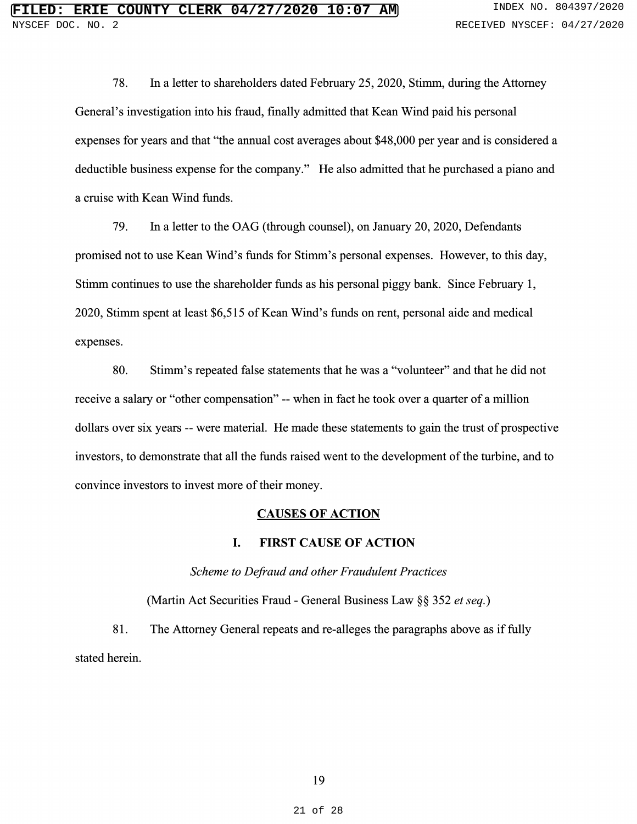78. In a letter to shareholders dated February 25, 2020, Stimm, during the Attorney General's investigation into his fraud, finally admitted that Kean Wind paid his personal expenses for years and that "the annual cost averages about \$48,000 per year and is considered a deductible business expense for the company." He also admitted that he purchased a piano an a cruise with Kean Wind funds.

79. In <sup>a</sup> letter to the OAG (through counsel), on January 20, 2020, Defendants promised not to use Kean Wind's funds for Stimm's personal expenses. However, to this day, Stimm continues to use the shareholder funds as his personal piggy bank. Since February 1, 2020, Stimm spent at least \$6,515 of Kean Wind's funds on rent, personal aide and medical expenses.

80. Stimm's repeated false statements that he was a "volunteer" and that he did not receive a salary or "other compensation" -- when in fact he took over a quarter of a mill dollars over six years -- were material. He made these statements to gain the trust of prospective investors, to demonstrate that all the funds raised went to the development of the turbine, and to convince investors to invest more of their money.

#### CAUSES OF ACTION

#### I. FIRST CAUSE OF ACTION

### Scheme to Defraud and other Fraudulent Practices

(Martin Act Securities Fraud - General Business Law §§ <sup>352</sup> et seq.)

81. The Attorney General repeats and re-alleges the paragraphs above as if fully stated herein.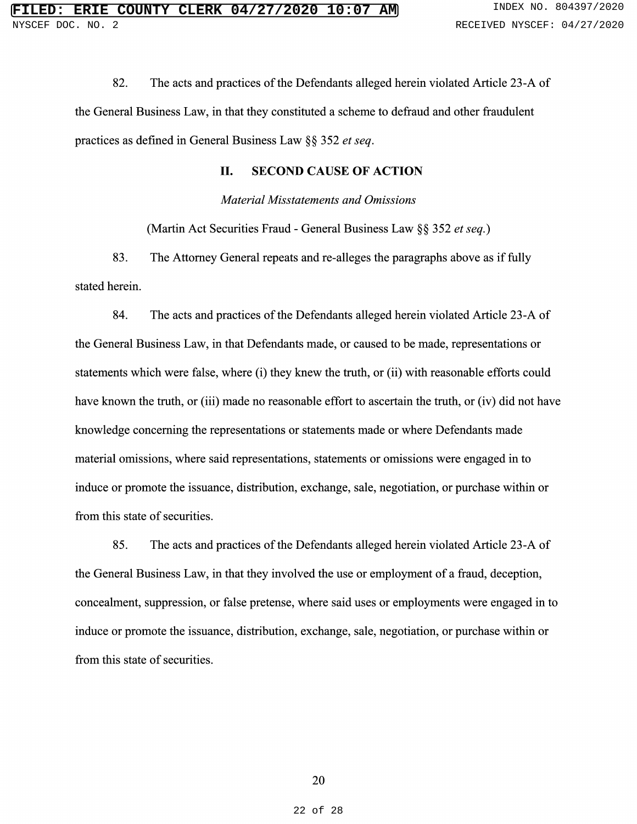82. The acts and practices of the Defendants alleged herein violated Article 23-A of the General Business Law, in that they constituted a scheme to defraud and other fraudulent practices as defined in General Business Law §§ 352 et seq.

#### II. SECOND CAUSE OF ACTION

Material Misstatements and Omissions

(Martin Act Securities Fraud - General Business Law §§ <sup>352</sup> et seq.)

83. The Attorney General repeats and re-alleges the paragraphs above as if fully stated herein.

84. The acts and practices of the Defendants alleged herein violated Article 23-A of the General Business Law, in that Defendants made, or caused to be made, representations or statements which were false, where (i) they knew the truth, or (ii) with reasonable efforts could have known the truth, or (iii) made no reasonable effort to ascertain the truth, or (iv) did not have knowledge concerning the representations or statements made or where Defendants made material omissions, where said representations, statements or omissions were engaged in to induce or promote the issuance, distribution, exchange, sale, negotiation, or purchase within or from this state of securities.

85. The acts and practices of the Defendants alleged herein violated Article 23-A of the General Business Law, in that they involved the use or employment of a fraud, deception, concealment, suppression, or false pretense, where said uses or employments were engaged in to induce or promote the issuance, distribution, exchange, sale, negotiation, or purchase within or from this state of securities.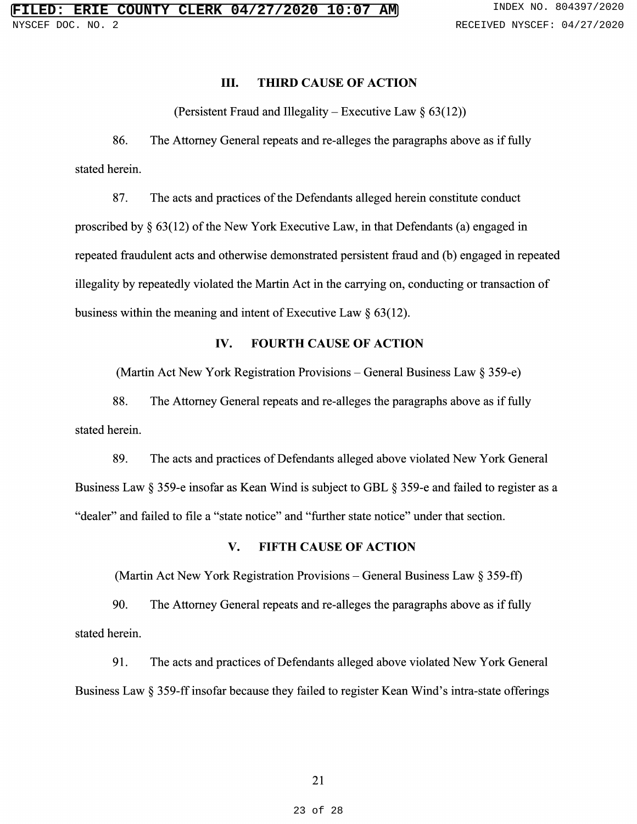#### III. THIRD CAUSE OF ACTION

(Persistent Fraud and Illegality – Executive Law  $\S~63(1)$ 

86. The Attorney General repeats and re-alleges the paragraphs above as if fully stated herein.

87. The acts and practices of the Defendants alleged herein constitute conduct proscribed by § 63(12) of the New York Executive Law, in that Defendants (a) engaged in repeated fraudulent acts and otherwise demonstrated persistent fraud and (b) engaged in repeated illegality by repeatedly violated the Martin Act in the carrying on, conducting or transaction of business within the meaning and intent of Executive Law  $\S 63(1)$ .

## IV. FOURTH CAUSE OF ACTION

(Martin Act New York Registration Provisions - General Business Law § 359-e)

88. The Attorney General repeats and re-alleges the paragraphs above as if fully stated herein.

89. The acts and practices of Defendants alleged above violated New York General Business Law § 359-e insofar as Kean Wind is subject to GBL § 359-e and failed to register as a "dealer" and failed to file a "state notice" and "further state notice" under that sectio

#### V. FIFTH CAUSE OF ACTION

(Martin Act New York Registration Provisions – General Business Law  $\S 359$ -ff)

90. The Attorney General repeats and re-alleges the paragraphs above as if fully stated herein.

91. The acts and practices of Defendants alleged above violated New York General Business Law  $\S 359$ -II insofar because they failed to register Kean Wind's intra-state offeri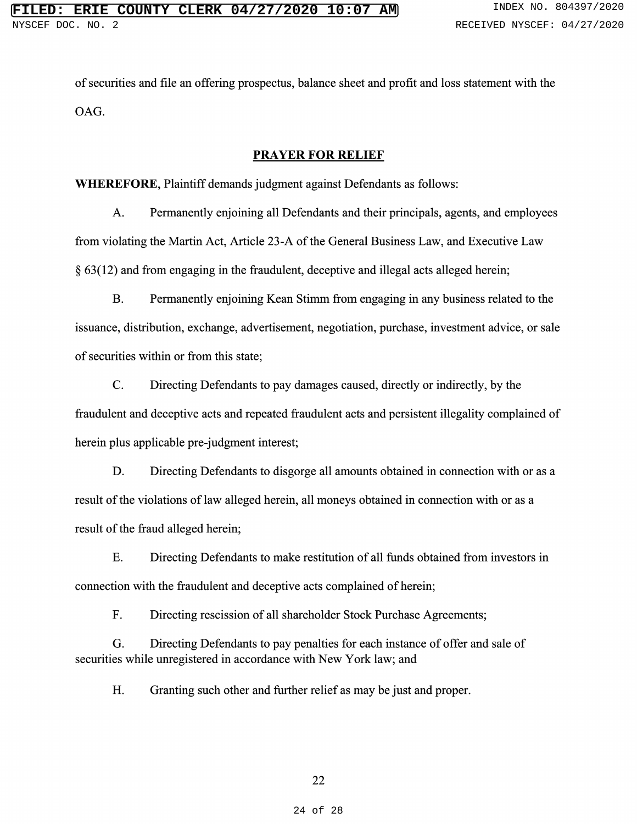of securities and file an offering prospectus, balance sheet and profit and loss statement with the OAG.

#### PRAYER FOR RELIEF

WHEREFORE, Plaintiff demands judgment against Defendants as follows:

A. Permanently enjoining all Defendants and their principals, agents, and employees from violating the Martin Act, Article 23-A of the General Business Law, and Executive Law § 63(12) and from engaging in the fraudulent, deceptive and illegal acts alleged herein;

B. Permanently enjoining Kean Stimm from engaging in any business related to the issuance, distribution, exchange, advertisement, negotiation, purchase, investment advice, or sale of securities within or from this state;

C. Directing Defendants to pay damages caused, directly or indirectly, by the fraudulent and deceptive acts and repeated fraudulent acts and persistent illegality complained of herein plus applicable pre-judgment interest;

D. Directing Defendants to disgorge all amounts obtained in connection with or as a result of the violations of law alleged herein, all moneys obtained in connection with or as a result of the fraud alleged herein;

E. Directing Defendants to make restitution of all funds obtained from investors in connection with the fraudulent and deceptive acts complained of herein;

F. Directing rescission of all shareholder Stock Purchase Agreements;

G. Directing Defendants to pay penalties for each instance of offer and sale of securities while unregistered in accordance with New York law; and

H. Granting such other and further relief as may be just and proper.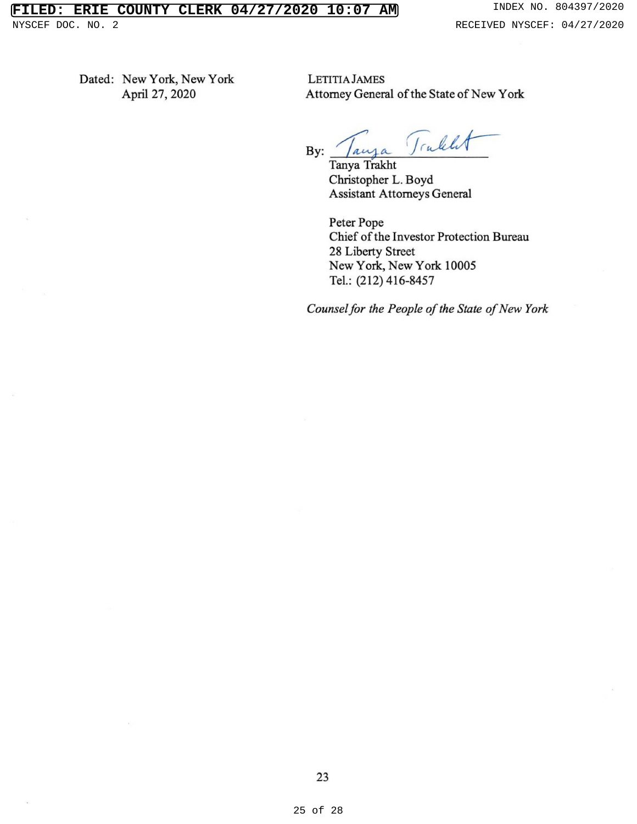Dated: New York, New York LETITIA JAMES<br>April 27, 2020 Attorney Genera

Attorney General of the State of New York

Trablet By:  $/$  auja

Tanya Trakht Christopher L. Boyd Assistant Attorneys General

Peter Pope Chief of the Investor Protection Bureau 28 Liberty Street New York, New York 10005 Tel.: (212) 416-8457

Counsel for the People of the State of New York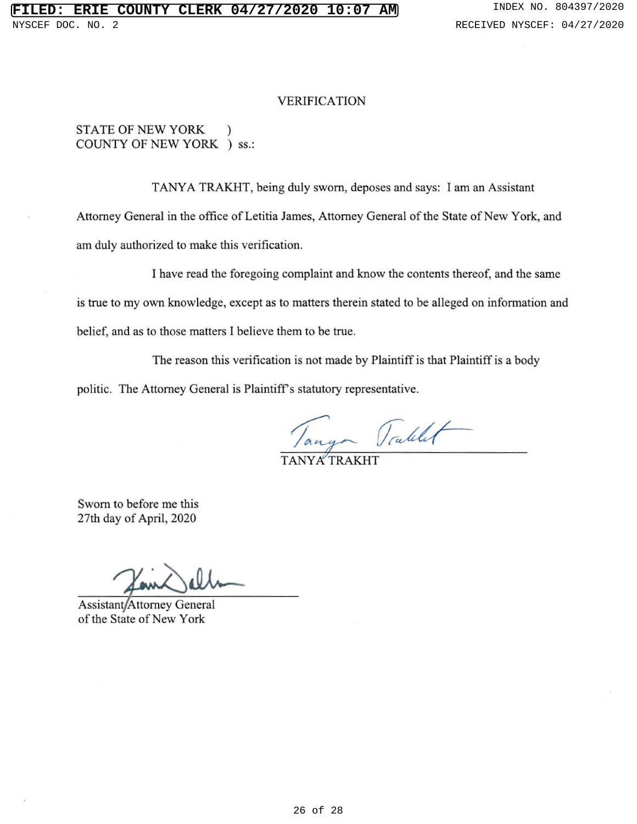#### VERIFICATION

## STATE OF NEW YORK ) COUNTY OF NEW YORK ) ss.

TANYA TRAKHT, being duly sworn, deposes and says: <sup>I</sup> am an Assistant Attorney General in the office of Letitia James, Attorney General of the State of New York, and am duly authorized to make this verification.

I have read the foregoing complaint and know the contents thereof, and the same is true to my own knowledge, except as to matters therein stated to be alleged on information and belief, and as to those matters I believe them to be true.

The reason this verification is not made by Plaintiff is that Plaintiff is a body

politic. The Attorney General is Plaintiff's statutory representative.

Tanger Tablet

TANYA TRAKI

Sworn to before me this 27th day of April, 2020

Assistant/Attorney General of the State of New York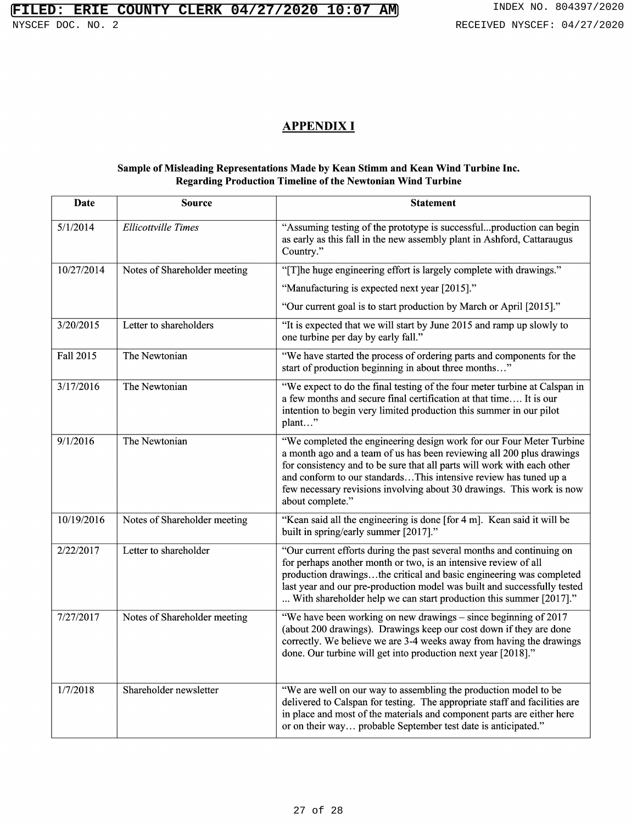# **FILED: ERIE COUNTY CLERK 04/27/2020 10:07 AM** INDEX NO. 804397/2020

## APPENDIX I

#### Sample of Misleading Representations Made by Kean Stimm and Kean Wind Turbine Inc. Regarding Production Timeline of the Newtonian Wind Turbine

| Date       | <b>Source</b>                | <b>Statement</b>                                                                                                                                                                                                                                                                                                                                                                          |
|------------|------------------------------|-------------------------------------------------------------------------------------------------------------------------------------------------------------------------------------------------------------------------------------------------------------------------------------------------------------------------------------------------------------------------------------------|
| 5/1/2014   | <b>Ellicottville Times</b>   | "Assuming testing of the prototype is successfulproduction can begin<br>as early as this fall in the new assembly plant in Ashford, Cattaraugus<br>Country."                                                                                                                                                                                                                              |
| 10/27/2014 | Notes of Shareholder meeting | "[T]he huge engineering effort is largely complete with drawings."                                                                                                                                                                                                                                                                                                                        |
|            |                              | "Manufacturing is expected next year [2015]."                                                                                                                                                                                                                                                                                                                                             |
|            |                              | "Our current goal is to start production by March or April [2015]."                                                                                                                                                                                                                                                                                                                       |
| 3/20/2015  | Letter to shareholders       | "It is expected that we will start by June 2015 and ramp up slowly to<br>one turbine per day by early fall."                                                                                                                                                                                                                                                                              |
| Fall 2015  | The Newtonian                | "We have started the process of ordering parts and components for the<br>start of production beginning in about three months"                                                                                                                                                                                                                                                             |
| 3/17/2016  | The Newtonian                | "We expect to do the final testing of the four meter turbine at Calspan in<br>a few months and secure final certification at that time It is our<br>intention to begin very limited production this summer in our pilot<br>plant"                                                                                                                                                         |
| 9/1/2016   | The Newtonian                | "We completed the engineering design work for our Four Meter Turbine<br>a month ago and a team of us has been reviewing all 200 plus drawings<br>for consistency and to be sure that all parts will work with each other<br>and conform to our standardsThis intensive review has tuned up a<br>few necessary revisions involving about 30 drawings. This work is now<br>about complete." |
| 10/19/2016 | Notes of Shareholder meeting | "Kean said all the engineering is done [for 4 m]. Kean said it will be<br>built in spring/early summer [2017]."                                                                                                                                                                                                                                                                           |
| 2/22/2017  | Letter to shareholder        | "Our current efforts during the past several months and continuing on<br>for perhaps another month or two, is an intensive review of all<br>production drawingsthe critical and basic engineering was completed<br>last year and our pre-production model was built and successfully tested<br>With shareholder help we can start production this summer [2017]."                         |
| 7/27/2017  | Notes of Shareholder meeting | "We have been working on new drawings – since beginning of 2017<br>(about 200 drawings). Drawings keep our cost down if they are done<br>correctly. We believe we are 3-4 weeks away from having the drawings<br>done. Our turbine will get into production next year [2018]."                                                                                                            |
| 1/7/2018   | Shareholder newsletter       | "We are well on our way to assembling the production model to be<br>delivered to Calspan for testing. The appropriate staff and facilities are<br>in place and most of the materials and component parts are either here<br>or on their way probable September test date is anticipated."                                                                                                 |